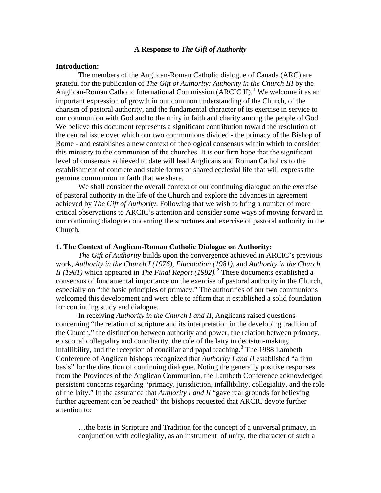## **A Response to** *The Gift of Authority*

## **Introduction:**

 The members of the Anglican-Roman Catholic dialogue of Canada (ARC) are grateful for the publication of *The Gift of Authority: Authority in the Church III* by the Anglican-Roman Catholic International Commission (ARCIC II).<sup>[1](#page-18-0)</sup> We welcome it as an important expression of growth in our common understanding of the Church, of the charism of pastoral authority, and the fundamental character of its exercise in service to our communion with God and to the unity in faith and charity among the people of God. We believe this document represents a significant contribution toward the resolution of the central issue over which our two communions divided - the primacy of the Bishop of Rome - and establishes a new context of theological consensus within which to consider this ministry to the communion of the churches. It is our firm hope that the significant level of consensus achieved to date will lead Anglicans and Roman Catholics to the establishment of concrete and stable forms of shared ecclesial life that will express the genuine communion in faith that we share.

We shall consider the overall context of our continuing dialogue on the exercise of pastoral authority in the life of the Church and explore the advances in agreement achieved by *The Gift of Authority*. Following that we wish to bring a number of more critical observations to ARCIC's attention and consider some ways of moving forward in our continuing dialogue concerning the structures and exercise of pastoral authority in the Church.

### **1. The Context of Anglican-Roman Catholic Dialogue on Authority:**

*The Gift of Authority* builds upon the convergence achieved in ARCIC's previous work, *Authority in the Church I (1976), Elucidation (1981),* and *Authority in the Church II (1981)* which appeared in *The Final Report (1982).[2](#page-18-1)* These documents established a consensus of fundamental importance on the exercise of pastoral authority in the Church, especially on "the basic principles of primacy." The authorities of our two communions welcomed this development and were able to affirm that it established a solid foundation for continuing study and dialogue.

In receiving *Authority in the Church I and II*, Anglicans raised questions concerning "the relation of scripture and its interpretation in the developing tradition of the Church," the distinction between authority and power, the relation between primacy, episcopal collegiality and conciliarity, the role of the laity in decision-making, infallibility, and the reception of conciliar and papal teaching.<sup>[3](#page-18-1)</sup> The 1988 Lambeth Conference of Anglican bishops recognized that *Authority I and II* established "a firm basis" for the direction of continuing dialogue. Noting the generally positive responses from the Provinces of the Anglican Communion, the Lambeth Conference acknowledged persistent concerns regarding "primacy, jurisdiction, infallibility, collegiality, and the role of the laity." In the assurance that *Authority I and II* "gave real grounds for believing further agreement can be reached" the bishops requested that ARCIC devote further attention to:

…the basis in Scripture and Tradition for the concept of a universal primacy, in conjunction with collegiality, as an instrument of unity, the character of such a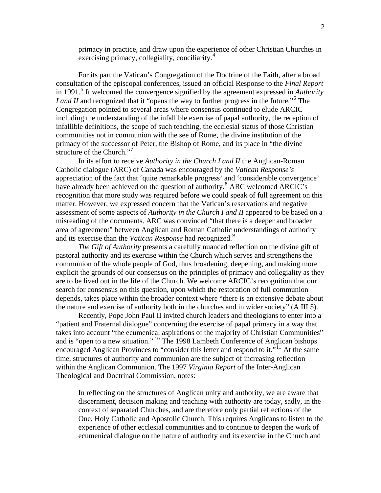primacy in practice, and draw upon the experience of other Christian Churches in exercising primacy, collegiality, conciliarity.<sup>[4](#page-18-1)</sup>

 For its part the Vatican's Congregation of the Doctrine of the Faith, after a broad consultation of the episcopal conferences, issued an official Response to the *Final Report* in 1991.<sup>[5](#page-18-1)</sup> It welcomed the convergence signified by the agreement expressed in *Authority I and II* and recognized that it "opens the way to further progress in the future."<sup>[6](#page-18-1)</sup> The Congregation pointed to several areas where consensus continued to elude ARCIC including the understanding of the infallible exercise of papal authority, the reception of infallible definitions, the scope of such teaching, the ecclesial status of those Christian communities not in communion with the see of Rome, the divine institution of the primacy of the successor of Peter, the Bishop of Rome, and its place in "the divine structure of the Church."<sup>[7](#page-18-1)</sup>

In its effort to receive *Authority in the Church I and II* the Anglican-Roman Catholic dialogue (ARC) of Canada was encouraged by the *Vatican Response's* appreciation of the fact that 'quite remarkable progress' and 'considerable convergence' have already been achieved on the question of authority.<sup>[8](#page-18-1)</sup> ARC welcomed ARCIC's recognition that more study was required before we could speak of full agreement on this matter. However, we expressed concern that the Vatican's reservations and negative assessment of some aspects of *Authority in the Church I and II* appeared to be based on a misreading of the documents. ARC was convinced "that there is a deeper and broader area of agreement" between Anglican and Roman Catholic understandings of authority and its exercise than the *Vatican Response* had recognized.[9](#page-18-1)

*The Gift of Authority* presents a carefully nuanced reflection on the divine gift of pastoral authority and its exercise within the Church which serves and strengthens the communion of the whole people of God, thus broadening, deepening, and making more explicit the grounds of our consensus on the principles of primacy and collegiality as they are to be lived out in the life of the Church. We welcome ARCIC's recognition that our search for consensus on this question, upon which the restoration of full communion depends, takes place within the broader context where "there is an extensive debate about the nature and exercise of authority both in the churches and in wider society" (A III 5).

Recently, Pope John Paul II invited church leaders and theologians to enter into a "patient and Fraternal dialogue" concerning the exercise of papal primacy in a way that takes into account "the ecumenical aspirations of the majority of Christian Communities" and is "open to a new situation." [10](#page-18-1) The 1998 Lambeth Conference of Anglican bishops encouraged Anglican Provinces to "consider this letter and respond to it."<sup>[11](#page-18-1)</sup> At the same time, structures of authority and communion are the subject of increasing reflection within the Anglican Communion. The 1997 *Virginia Report* of the Inter-Anglican Theological and Doctrinal Commission, notes:

In reflecting on the structures of Anglican unity and authority, we are aware that discernment, decision making and teaching with authority are today, sadly, in the context of separated Churches, and are therefore only partial reflections of the One, Holy Catholic and Apostolic Church. This requires Anglicans to listen to the experience of other ecclesial communities and to continue to deepen the work of ecumenical dialogue on the nature of authority and its exercise in the Church and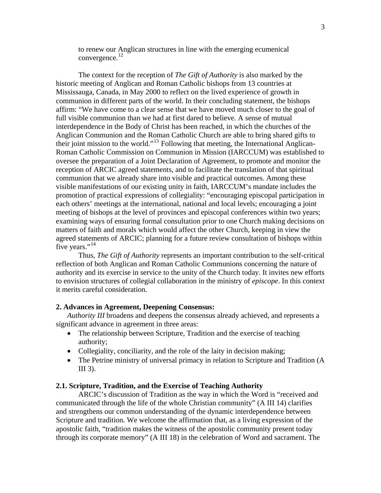to renew our Anglican structures in line with the emerging ecumenical convergence. [12](#page-18-1)

 The context for the reception of *The Gift of Authority* is also marked by the historic meeting of Anglican and Roman Catholic bishops from 13 countries at Mississauga, Canada, in May 2000 to reflect on the lived experience of growth in communion in different parts of the world. In their concluding statement, the bishops affirm: "We have come to a clear sense that we have moved much closer to the goal of full visible communion than we had at first dared to believe. A sense of mutual interdependence in the Body of Christ has been reached, in which the churches of the Anglican Communion and the Roman Catholic Church are able to bring shared gifts to their joint mission to the world."[13](#page-18-1) Following that meeting, the International Anglican-Roman Catholic Commission on Communion in Mission (IARCCUM) was established to oversee the preparation of a Joint Declaration of Agreement, to promote and monitor the reception of ARCIC agreed statements, and to facilitate the translation of that spiritual communion that we already share into visible and practical outcomes. Among these visible manifestations of our existing unity in faith, IARCCUM's mandate includes the promotion of practical expressions of collegiality: "encouraging episcopal participation in each others' meetings at the international, national and local levels; encouraging a joint meeting of bishops at the level of provinces and episcopal conferences within two years; examining ways of ensuring formal consultation prior to one Church making decisions on matters of faith and morals which would affect the other Church, keeping in view the agreed statements of ARCIC; planning for a future review consultation of bishops within five years."<sup>[14](#page-18-1)</sup>

Thus, *The Gift of Authority* represents an important contribution to the self-critical reflection of both Anglican and Roman Catholic Communions concerning the nature of authority and its exercise in service to the unity of the Church today. It invites new efforts to envision structures of collegial collaboration in the ministry of *episcope*. In this context it merits careful consideration.

#### **2. Advances in Agreement, Deepening Consensus:**

*Authority III* broadens and deepens the consensus already achieved, and represents a significant advance in agreement in three areas:

- The relationship between Scripture, Tradition and the exercise of teaching authority;
- Collegiality, conciliarity, and the role of the laity in decision making;
- The Petrine ministry of universal primacy in relation to Scripture and Tradition (A III 3).

### **2.1. Scripture, Tradition, and the Exercise of Teaching Authority**

 ARCIC's discussion of Tradition as the way in which the Word is "received and communicated through the life of the whole Christian community" (A III 14) clarifies and strengthens our common understanding of the dynamic interdependence between Scripture and tradition. We welcome the affirmation that, as a living expression of the apostolic faith, "tradition makes the witness of the apostolic community present today through its corporate memory" (A III 18) in the celebration of Word and sacrament. The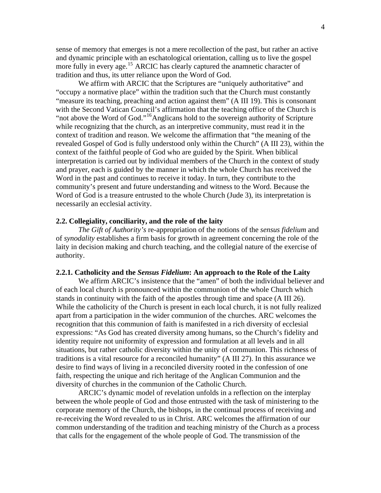sense of memory that emerges is not a mere recollection of the past, but rather an active and dynamic principle with an eschatological orientation, calling us to live the gospel more fully in every age.<sup>[15](#page-18-1)</sup> ARCIC has clearly captured the anamnetic character of tradition and thus, its utter reliance upon the Word of God.

We affirm with ARCIC that the Scriptures are "uniquely authoritative" and "occupy a normative place" within the tradition such that the Church must constantly "measure its teaching, preaching and action against them" (A III 19). This is consonant with the Second Vatican Council's affirmation that the teaching office of the Church is "not above the Word of God."<sup>[16](#page-18-1)</sup>Anglicans hold to the sovereign authority of Scripture while recognizing that the church, as an interpretive community, must read it in the context of tradition and reason. We welcome the affirmation that "the meaning of the revealed Gospel of God is fully understood only within the Church" (A III 23), within the context of the faithful people of God who are guided by the Spirit. When biblical interpretation is carried out by individual members of the Church in the context of study and prayer, each is guided by the manner in which the whole Church has received the Word in the past and continues to receive it today. In turn, they contribute to the community's present and future understanding and witness to the Word. Because the Word of God is a treasure entrusted to the whole Church (Jude 3), its interpretation is necessarily an ecclesial activity.

#### **2.2. Collegiality, conciliarity, and the role of the laity**

*The Gift of Authority's* re-appropriation of the notions of the *sensus fidelium* and of *synodality* establishes a firm basis for growth in agreement concerning the role of the laity in decision making and church teaching, and the collegial nature of the exercise of authority.

#### **2.2.1. Catholicity and the** *Sensus Fidelium***: An approach to the Role of the Laity**

 We affirm ARCIC's insistence that the "amen" of both the individual believer and of each local church is pronounced within the communion of the whole Church which stands in continuity with the faith of the apostles through time and space (A III 26). While the catholicity of the Church is present in each local church, it is not fully realized apart from a participation in the wider communion of the churches. ARC welcomes the recognition that this communion of faith is manifested in a rich diversity of ecclesial expressions: "As God has created diversity among humans, so the Church's fidelity and identity require not uniformity of expression and formulation at all levels and in all situations, but rather catholic diversity within the unity of communion. This richness of traditions is a vital resource for a reconciled humanity" (A III 27). In this assurance we desire to find ways of living in a reconciled diversity rooted in the confession of one faith, respecting the unique and rich heritage of the Anglican Communion and the diversity of churches in the communion of the Catholic Church.

ARCIC's dynamic model of revelation unfolds in a reflection on the interplay between the whole people of God and those entrusted with the task of ministering to the corporate memory of the Church, the bishops, in the continual process of receiving and re-receiving the Word revealed to us in Christ. ARC welcomes the affirmation of our common understanding of the tradition and teaching ministry of the Church as a process that calls for the engagement of the whole people of God. The transmission of the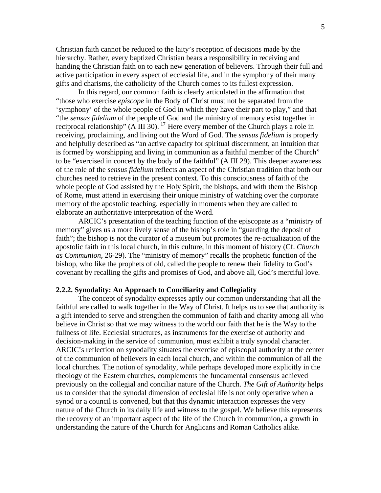Christian faith cannot be reduced to the laity's reception of decisions made by the hierarchy. Rather, every baptized Christian bears a responsibility in receiving and handing the Christian faith on to each new generation of believers. Through their full and active participation in every aspect of ecclesial life, and in the symphony of their many gifts and charisms, the catholicity of the Church comes to its fullest expression.

 In this regard, our common faith is clearly articulated in the affirmation that "those who exercise *episcope* in the Body of Christ must not be separated from the 'symphony' of the whole people of God in which they have their part to play," and that "the *sensus fidelium* of the people of God and the ministry of memory exist together in reciprocal relationship" (A III 30). <sup>[17](#page-18-1)</sup> Here every member of the Church plays a role in receiving, proclaiming, and living out the Word of God. The *sensus fidelium* is properly and helpfully described as "an active capacity for spiritual discernment, an intuition that is formed by worshipping and living in communion as a faithful member of the Church" to be "exercised in concert by the body of the faithful" (A III 29). This deeper awareness of the role of the *sensus fidelium* reflects an aspect of the Christian tradition that both our churches need to retrieve in the present context. To this consciousness of faith of the whole people of God assisted by the Holy Spirit, the bishops, and with them the Bishop of Rome, must attend in exercising their unique ministry of watching over the corporate memory of the apostolic teaching, especially in moments when they are called to elaborate an authoritative interpretation of the Word.

ARCIC's presentation of the teaching function of the episcopate as a "ministry of memory" gives us a more lively sense of the bishop's role in "guarding the deposit of faith"; the bishop is not the curator of a museum but promotes the re-actualization of the apostolic faith in this local church, in this culture, in this moment of history (Cf. *Church as Communion*, 26-29). The "ministry of memory" recalls the prophetic function of the bishop, who like the prophets of old, called the people to renew their fidelity to God's covenant by recalling the gifts and promises of God, and above all, God's merciful love.

#### **2.2.2. Synodality: An Approach to Conciliarity and Collegiality**

 The concept of synodality expresses aptly our common understanding that all the faithful are called to walk together in the Way of Christ. It helps us to see that authority is a gift intended to serve and strengthen the communion of faith and charity among all who believe in Christ so that we may witness to the world our faith that he is the Way to the fullness of life. Ecclesial structures, as instruments for the exercise of authority and decision-making in the service of communion, must exhibit a truly synodal character. ARCIC's reflection on synodality situates the exercise of episcopal authority at the center of the communion of believers in each local church, and within the communion of all the local churches. The notion of synodality, while perhaps developed more explicitly in the theology of the Eastern churches, complements the fundamental consensus achieved previously on the collegial and conciliar nature of the Church. *The Gift of Authority* helps us to consider that the synodal dimension of ecclesial life is not only operative when a synod or a council is convened, but that this dynamic interaction expresses the very nature of the Church in its daily life and witness to the gospel. We believe this represents the recovery of an important aspect of the life of the Church in communion, a growth in understanding the nature of the Church for Anglicans and Roman Catholics alike.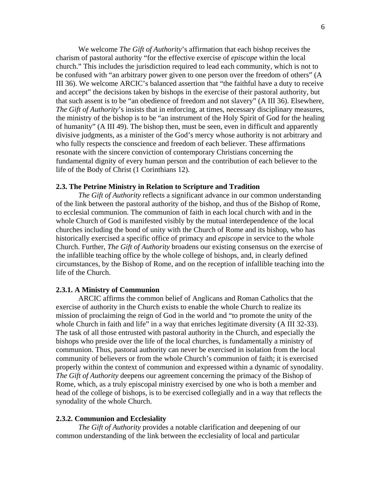We welcome *The Gift of Authority*'s affirmation that each bishop receives the charism of pastoral authority "for the effective exercise of *episcope* within the local church." This includes the jurisdiction required to lead each community, which is not to be confused with "an arbitrary power given to one person over the freedom of others" (A III 36). We welcome ARCIC's balanced assertion that "the faithful have a duty to receive and accept" the decisions taken by bishops in the exercise of their pastoral authority, but that such assent is to be "an obedience of freedom and not slavery" (A III 36). Elsewhere, *The Gift of Authority*'s insists that in enforcing, at times, necessary disciplinary measures, the ministry of the bishop is to be "an instrument of the Holy Spirit of God for the healing of humanity" (A III 49). The bishop then, must be seen, even in difficult and apparently divisive judgments, as a minister of the God's mercy whose authority is not arbitrary and who fully respects the conscience and freedom of each believer. These affirmations resonate with the sincere conviction of contemporary Christians concerning the fundamental dignity of every human person and the contribution of each believer to the life of the Body of Christ (1 Corinthians 12).

#### **2.3. The Petrine Ministry in Relation to Scripture and Tradition**

*The Gift of Authority* reflects a significant advance in our common understanding of the link between the pastoral authority of the bishop, and thus of the Bishop of Rome, to ecclesial communion. The communion of faith in each local church with and in the whole Church of God is manifested visibly by the mutual interdependence of the local churches including the bond of unity with the Church of Rome and its bishop, who has historically exercised a specific office of primacy and *episcope* in service to the whole Church. Further, *The Gift of Authority* broadens our existing consensus on the exercise of the infallible teaching office by the whole college of bishops, and, in clearly defined circumstances, by the Bishop of Rome, and on the reception of infallible teaching into the life of the Church.

#### **2.3.1. A Ministry of Communion**

 ARCIC affirms the common belief of Anglicans and Roman Catholics that the exercise of authority in the Church exists to enable the whole Church to realize its mission of proclaiming the reign of God in the world and "to promote the unity of the whole Church in faith and life" in a way that enriches legitimate diversity (A III 32-33). The task of all those entrusted with pastoral authority in the Church, and especially the bishops who preside over the life of the local churches, is fundamentally a ministry of communion. Thus, pastoral authority can never be exercised in isolation from the local community of believers or from the whole Church's communion of faith; it is exercised properly within the context of communion and expressed within a dynamic of synodality. *The Gift of Authority* deepens our agreement concerning the primacy of the Bishop of Rome, which, as a truly episcopal ministry exercised by one who is both a member and head of the college of bishops, is to be exercised collegially and in a way that reflects the synodality of the whole Church.

#### **2.3.2. Communion and Ecclesiality**

*The Gift of Authority* provides a notable clarification and deepening of our common understanding of the link between the ecclesiality of local and particular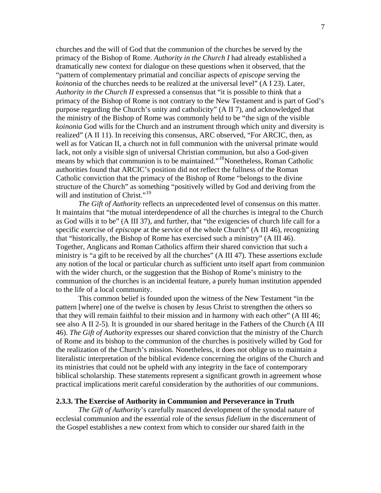churches and the will of God that the communion of the churches be served by the primacy of the Bishop of Rome. *Authority in the Church I* had already established a dramatically new context for dialogue on these questions when it observed, that the "pattern of complementary primatial and conciliar aspects of *episcope* serving the *koinonia* of the churches needs to be realized at the universal level" (A I 23). Later, *Authority in the Church II* expressed a consensus that "it is possible to think that a primacy of the Bishop of Rome is not contrary to the New Testament and is part of God's purpose regarding the Church's unity and catholicity" (A II 7), and acknowledged that the ministry of the Bishop of Rome was commonly held to be "the sign of the visible *koinonia* God wills for the Church and an instrument through which unity and diversity is realized" (A II 11). In receiving this consensus, ARC observed, "For ARCIC, then, as well as for Vatican II, a church not in full communion with the universal primate would lack, not only a visible sign of universal Christian communion, but also a God-given means by which that communion is to be maintained."[18](#page-18-1)Nonetheless, Roman Catholic authorities found that ARCIC's position did not reflect the fullness of the Roman Catholic conviction that the primacy of the Bishop of Rome "belongs to the divine structure of the Church" as something "positively willed by God and deriving from the will and institution of Christ."<sup>[19](#page-18-1)</sup>

*The Gift of Authority* reflects an unprecedented level of consensus on this matter. It maintains that "the mutual interdependence of all the churches is integral to the Church as God wills it to be" (A III 37), and further, that "the exigencies of church life call for a specific exercise of *episcope* at the service of the whole Church" (A III 46), recognizing that "historically, the Bishop of Rome has exercised such a ministry" (A III 46). Together, Anglicans and Roman Catholics affirm their shared conviction that such a ministry is "a gift to be received by all the churches" (A III 47). These assertions exclude any notion of the local or particular church as sufficient unto itself apart from communion with the wider church, or the suggestion that the Bishop of Rome's ministry to the communion of the churches is an incidental feature, a purely human institution appended to the life of a local community.

This common belief is founded upon the witness of the New Testament "in the pattern [where] one of the twelve is chosen by Jesus Christ to strengthen the others so that they will remain faithful to their mission and in harmony with each other" (A III 46; see also A II 2-5). It is grounded in our shared heritage in the Fathers of the Church (A III 46). *The Gift of Authority* expresses our shared conviction that the ministry of the Church of Rome and its bishop to the communion of the churches is positively willed by God for the realization of the Church's mission. Nonetheless, it does not oblige us to maintain a literalistic interpretation of the biblical evidence concerning the origins of the Church and its ministries that could not be upheld with any integrity in the face of contemporary biblical scholarship. These statements represent a significant growth in agreement whose practical implications merit careful consideration by the authorities of our communions.

#### **2.3.3. The Exercise of Authority in Communion and Perseverance in Truth**

*The Gift of Authority*'s carefully nuanced development of the synodal nature of ecclesial communion and the essential role of the *sensus fidelium* in the discernment of the Gospel establishes a new context from which to consider our shared faith in the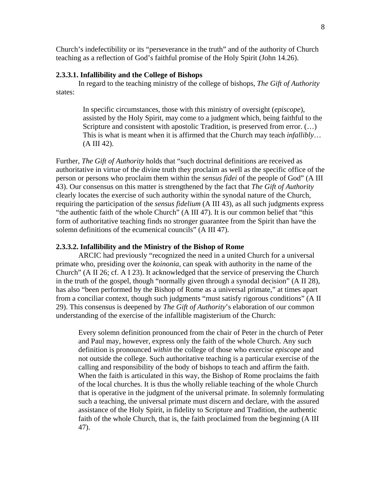Church's indefectibility or its "perseverance in the truth" and of the authority of Church teaching as a reflection of God's faithful promise of the Holy Spirit (John 14.26).

### **2.3.3.1. Infallibility and the College of Bishops**

In regard to the teaching ministry of the college of bishops, *The Gift of Authority* states:

> In specific circumstances, those with this ministry of oversight (*episcope*), assisted by the Holy Spirit, may come to a judgment which, being faithful to the Scripture and consistent with apostolic Tradition, is preserved from error. (…) This is what is meant when it is affirmed that the Church may teach *infallibly*… (A III 42).

Further, *The Gift of Authority* holds that "such doctrinal definitions are received as authoritative in virtue of the divine truth they proclaim as well as the specific office of the person or persons who proclaim them within the *sensus fidei* of the people of God" (A III 43). Our consensus on this matter is strengthened by the fact that *The Gift of Authority* clearly locates the exercise of such authority within the synodal nature of the Church, requiring the participation of the *sensus fidelium* (A III 43), as all such judgments express "the authentic faith of the whole Church" (A III 47). It is our common belief that "this form of authoritative teaching finds no stronger guarantee from the Spirit than have the solemn definitions of the ecumenical councils" (A III 47).

### **2.3.3.2. Infallibility and the Ministry of the Bishop of Rome**

 ARCIC had previously "recognized the need in a united Church for a universal primate who, presiding over the *koinonia*, can speak with authority in the name of the Church" (A II 26; cf. A I 23). It acknowledged that the service of preserving the Church in the truth of the gospel, though "normally given through a synodal decision" (A II 28), has also "been performed by the Bishop of Rome as a universal primate," at times apart from a conciliar context, though such judgments "must satisfy rigorous conditions" (A II 29). This consensus is deepened by *The Gift of Authority*'s elaboration of our common understanding of the exercise of the infallible magisterium of the Church:

Every solemn definition pronounced from the chair of Peter in the church of Peter and Paul may, however, express only the faith of the whole Church. Any such definition is pronounced *within* the college of those who exercise *episcope* and not outside the college. Such authoritative teaching is a particular exercise of the calling and responsibility of the body of bishops to teach and affirm the faith. When the faith is articulated in this way, the Bishop of Rome proclaims the faith of the local churches. It is thus the wholly reliable teaching of the whole Church that is operative in the judgment of the universal primate. In solemnly formulating such a teaching, the universal primate must discern and declare, with the assured assistance of the Holy Spirit, in fidelity to Scripture and Tradition, the authentic faith of the whole Church, that is, the faith proclaimed from the beginning (A III 47).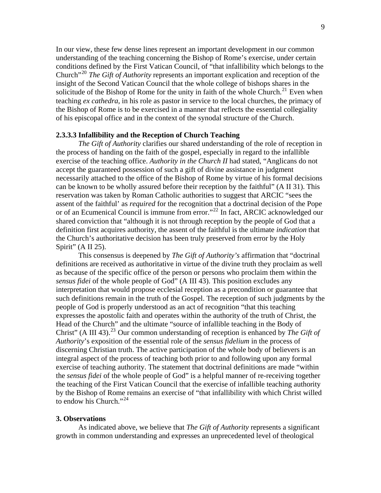In our view, these few dense lines represent an important development in our common understanding of the teaching concerning the Bishop of Rome's exercise, under certain conditions defined by the First Vatican Council, of "that infallibility which belongs to the Church"[20](#page-18-1) *The Gift of Authority* represents an important explication and reception of the insight of the Second Vatican Council that the whole college of bishops shares in the solicitude of the Bishop of Rome for the unity in faith of the whole Church.<sup>[21](#page-18-1)</sup> Even when teaching *ex cathedra*, in his role as pastor in service to the local churches, the primacy of the Bishop of Rome is to be exercised in a manner that reflects the essential collegiality of his episcopal office and in the context of the synodal structure of the Church.

### **2.3.3.3 Infallibility and the Reception of Church Teaching**

*The Gift of Authority* clarifies our shared understanding of the role of reception in the process of handing on the faith of the gospel, especially in regard to the infallible exercise of the teaching office. *Authority in the Church II* had stated, "Anglicans do not accept the guaranteed possession of such a gift of divine assistance in judgment necessarily attached to the office of the Bishop of Rome by virtue of his formal decisions can be known to be wholly assured before their reception by the faithful" (A II 31). This reservation was taken by Roman Catholic authorities to suggest that ARCIC "sees the assent of the faithful' as *required* for the recognition that a doctrinal decision of the Pope or of an Ecumenical Council is immune from error."[22](#page-18-1) In fact, ARCIC acknowledged our shared conviction that "although it is not through reception by the people of God that a definition first acquires authority, the assent of the faithful is the ultimate *indication* that the Church's authoritative decision has been truly preserved from error by the Holy Spirit" (A II 25).

 This consensus is deepened by *The Gift of Authority's* affirmation that "doctrinal definitions are received as authoritative in virtue of the divine truth they proclaim as well as because of the specific office of the person or persons who proclaim them within the *sensus fidei* of the whole people of God" (A III 43). This position excludes any interpretation that would propose ecclesial reception as a precondition or guarantee that such definitions remain in the truth of the Gospel. The reception of such judgments by the people of God is properly understood as an act of recognition "that this teaching expresses the apostolic faith and operates within the authority of the truth of Christ, the Head of the Church" and the ultimate "source of infallible teaching in the Body of Christ" (A III 43).<sup>[23](#page-18-1)</sup> Our common understanding of reception is enhanced by *The Gift of Authority*'s exposition of the essential role of the *sensus fidelium* in the process of discerning Christian truth. The active participation of the whole body of believers is an integral aspect of the process of teaching both prior to and following upon any formal exercise of teaching authority. The statement that doctrinal definitions are made "within the *sensus fidei* of the whole people of God" is a helpful manner of re-receiving together the teaching of the First Vatican Council that the exercise of infallible teaching authority by the Bishop of Rome remains an exercise of "that infallibility with which Christ willed to endow his Church."<sup>[24](#page-18-1)</sup>

## **3. Observations**

 As indicated above, we believe that *The Gift of Authority* represents a significant growth in common understanding and expresses an unprecedented level of theological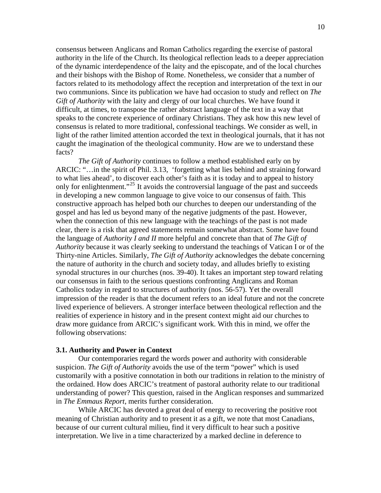consensus between Anglicans and Roman Catholics regarding the exercise of pastoral authority in the life of the Church. Its theological reflection leads to a deeper appreciation of the dynamic interdependence of the laity and the episcopate, and of the local churches and their bishops with the Bishop of Rome. Nonetheless, we consider that a number of factors related to its methodology affect the reception and interpretation of the text in our two communions. Since its publication we have had occasion to study and reflect on *The Gift of Authority* with the laity and clergy of our local churches. We have found it difficult, at times, to transpose the rather abstract language of the text in a way that speaks to the concrete experience of ordinary Christians. They ask how this new level of consensus is related to more traditional, confessional teachings. We consider as well, in light of the rather limited attention accorded the text in theological journals, that it has not caught the imagination of the theological community. How are we to understand these facts?

*The Gift of Authority* continues to follow a method established early on by ARCIC: "…in the spirit of Phil. 3.13, 'forgetting what lies behind and straining forward to what lies ahead', to discover each other's faith as it is today and to appeal to history only for enlightenment."<sup>[25](#page-18-1)</sup> It avoids the controversial language of the past and succeeds in developing a new common language to give voice to our consensus of faith. This constructive approach has helped both our churches to deepen our understanding of the gospel and has led us beyond many of the negative judgments of the past. However, when the connection of this new language with the teachings of the past is not made clear, there is a risk that agreed statements remain somewhat abstract. Some have found the language of *Authority I and II* more helpful and concrete than that of *The Gift of Authority* because it was clearly seeking to understand the teachings of Vatican I or of the Thirty-nine Articles. Similarly, *The Gift of Authority* acknowledges the debate concerning the nature of authority in the church and society today, and alludes briefly to existing synodal structures in our churches (nos. 39-40). It takes an important step toward relating our consensus in faith to the serious questions confronting Anglicans and Roman Catholics today in regard to structures of authority (nos. 56-57). Yet the overall impression of the reader is that the document refers to an ideal future and not the concrete lived experience of believers. A stronger interface between theological reflection and the realities of experience in history and in the present context might aid our churches to draw more guidance from ARCIC's significant work. With this in mind, we offer the following observations:

#### **3.1. Authority and Power in Context**

Our contemporaries regard the words power and authority with considerable suspicion. *The Gift of Authority* avoids the use of the term "power" which is used customarily with a positive connotation in both our traditions in relation to the ministry of the ordained. How does ARCIC's treatment of pastoral authority relate to our traditional understanding of power? This question, raised in the Anglican responses and summarized in *The Emmaus Report*, merits further consideration.

While ARCIC has devoted a great deal of energy to recovering the positive root meaning of Christian authority and to present it as a gift, we note that most Canadians, because of our current cultural milieu, find it very difficult to hear such a positive interpretation. We live in a time characterized by a marked decline in deference to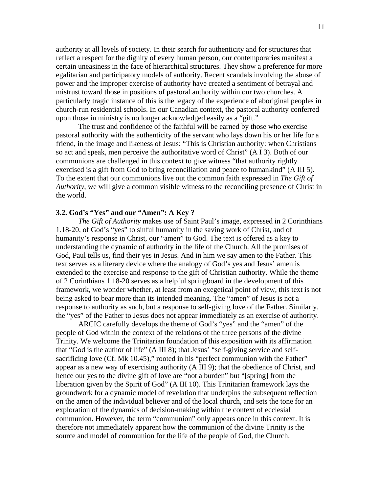authority at all levels of society. In their search for authenticity and for structures that reflect a respect for the dignity of every human person, our contemporaries manifest a certain uneasiness in the face of hierarchical structures. They show a preference for more egalitarian and participatory models of authority. Recent scandals involving the abuse of power and the improper exercise of authority have created a sentiment of betrayal and mistrust toward those in positions of pastoral authority within our two churches. A particularly tragic instance of this is the legacy of the experience of aboriginal peoples in church-run residential schools. In our Canadian context, the pastoral authority conferred upon those in ministry is no longer acknowledged easily as a "gift."

The trust and confidence of the faithful will be earned by those who exercise pastoral authority with the authenticity of the servant who lays down his or her life for a friend, in the image and likeness of Jesus: "This is Christian authority: when Christians so act and speak, men perceive the authoritative word of Christ" (A I 3). Both of our communions are challenged in this context to give witness "that authority rightly exercised is a gift from God to bring reconciliation and peace to humankind" (A III 5). To the extent that our communions live out the common faith expressed in *The Gift of Authority*, we will give a common visible witness to the reconciling presence of Christ in the world.

## **3.2. God's "Yes" and our "Amen": A Key ?**

*The Gift of Authority* makes use of Saint Paul's image, expressed in 2 Corinthians 1.18-20, of God's "yes" to sinful humanity in the saving work of Christ, and of humanity's response in Christ, our "amen" to God. The text is offered as a key to understanding the dynamic of authority in the life of the Church. All the promises of God, Paul tells us, find their yes in Jesus. And in him we say amen to the Father. This text serves as a literary device where the analogy of God's yes and Jesus' amen is extended to the exercise and response to the gift of Christian authority. While the theme of 2 Corinthians 1.18-20 serves as a helpful springboard in the development of this framework, we wonder whether, at least from an exegetical point of view, this text is not being asked to bear more than its intended meaning. The "amen" of Jesus is not a response to authority as such, but a response to self-giving love of the Father. Similarly, the "yes" of the Father to Jesus does not appear immediately as an exercise of authority.

ARCIC carefully develops the theme of God's "yes" and the "amen" of the people of God within the context of the relations of the three persons of the divine Trinity. We welcome the Trinitarian foundation of this exposition with its affirmation that "God is the author of life" (A III 8); that Jesus' "self-giving service and selfsacrificing love (Cf. Mk 10.45)," rooted in his "perfect communion with the Father" appear as a new way of exercising authority (A III 9); that the obedience of Christ, and hence our yes to the divine gift of love are "not a burden" but "[spring] from the liberation given by the Spirit of God" (A III 10). This Trinitarian framework lays the groundwork for a dynamic model of revelation that underpins the subsequent reflection on the amen of the individual believer and of the local church, and sets the tone for an exploration of the dynamics of decision-making within the context of ecclesial communion. However, the term "communion" only appears once in this context. It is therefore not immediately apparent how the communion of the divine Trinity is the source and model of communion for the life of the people of God, the Church.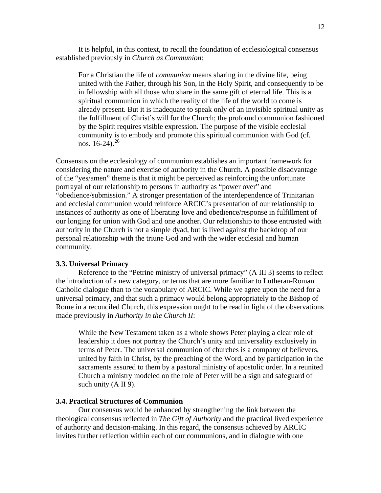It is helpful, in this context, to recall the foundation of ecclesiological consensus established previously in *Church as Communion*:

For a Christian the life of *communion* means sharing in the divine life, being united with the Father, through his Son, in the Holy Spirit, and consequently to be in fellowship with all those who share in the same gift of eternal life. This is a spiritual communion in which the reality of the life of the world to come is already present. But it is inadequate to speak only of an invisible spiritual unity as the fulfillment of Christ's will for the Church; the profound communion fashioned by the Spirit requires visible expression. The purpose of the visible ecclesial community is to embody and promote this spiritual communion with God (cf. nos.  $16-24$ ).<sup>[26](#page-18-1)</sup>

Consensus on the ecclesiology of communion establishes an important framework for considering the nature and exercise of authority in the Church. A possible disadvantage of the "yes/amen" theme is that it might be perceived as reinforcing the unfortunate portrayal of our relationship to persons in authority as "power over" and "obedience/submission." A stronger presentation of the interdependence of Trinitarian and ecclesial communion would reinforce ARCIC's presentation of our relationship to instances of authority as one of liberating love and obedience/response in fulfillment of our longing for union with God and one another. Our relationship to those entrusted with authority in the Church is not a simple dyad, but is lived against the backdrop of our personal relationship with the triune God and with the wider ecclesial and human community.

#### **3.3. Universal Primacy**

 Reference to the "Petrine ministry of universal primacy" (A III 3) seems to reflect the introduction of a new category, or terms that are more familiar to Lutheran-Roman Catholic dialogue than to the vocabulary of ARCIC. While we agree upon the need for a universal primacy, and that such a primacy would belong appropriately to the Bishop of Rome in a reconciled Church, this expression ought to be read in light of the observations made previously in *Authority in the Church II*:

While the New Testament taken as a whole shows Peter playing a clear role of leadership it does not portray the Church's unity and universality exclusively in terms of Peter. The universal communion of churches is a company of believers, united by faith in Christ, by the preaching of the Word, and by participation in the sacraments assured to them by a pastoral ministry of apostolic order. In a reunited Church a ministry modeled on the role of Peter will be a sign and safeguard of such unity (A II 9).

## **3.4. Practical Structures of Communion**

 Our consensus would be enhanced by strengthening the link between the theological consensus reflected in *The Gift of Authority* and the practical lived experience of authority and decision-making. In this regard, the consensus achieved by ARCIC invites further reflection within each of our communions, and in dialogue with one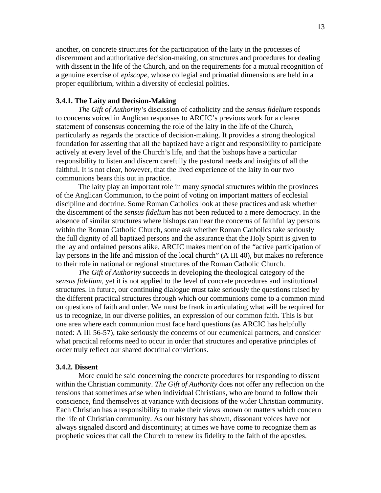another, on concrete structures for the participation of the laity in the processes of discernment and authoritative decision-making, on structures and procedures for dealing with dissent in the life of the Church, and on the requirements for a mutual recognition of a genuine exercise of *episcope*, whose collegial and primatial dimensions are held in a proper equilibrium, within a diversity of ecclesial polities.

#### **3.4.1. The Laity and Decision-Making**

*The Gift of Authority'*s discussion of catholicity and the *sensus fidelium* responds to concerns voiced in Anglican responses to ARCIC's previous work for a clearer statement of consensus concerning the role of the laity in the life of the Church, particularly as regards the practice of decision-making. It provides a strong theological foundation for asserting that all the baptized have a right and responsibility to participate actively at every level of the Church's life, and that the bishops have a particular responsibility to listen and discern carefully the pastoral needs and insights of all the faithful. It is not clear, however, that the lived experience of the laity in our two communions bears this out in practice.

The laity play an important role in many synodal structures within the provinces of the Anglican Communion, to the point of voting on important matters of ecclesial discipline and doctrine. Some Roman Catholics look at these practices and ask whether the discernment of the *sensus fidelium* has not been reduced to a mere democracy. In the absence of similar structures where bishops can hear the concerns of faithful lay persons within the Roman Catholic Church, some ask whether Roman Catholics take seriously the full dignity of all baptized persons and the assurance that the Holy Spirit is given to the lay and ordained persons alike. ARCIC makes mention of the "active participation of lay persons in the life and mission of the local church" (A III 40), but makes no reference to their role in national or regional structures of the Roman Catholic Church.

*The Gift of Authority* succeeds in developing the theological category of the *sensus fidelium*, yet it is not applied to the level of concrete procedures and institutional structures. In future, our continuing dialogue must take seriously the questions raised by the different practical structures through which our communions come to a common mind on questions of faith and order. We must be frank in articulating what will be required for us to recognize, in our diverse polities, an expression of our common faith. This is but one area where each communion must face hard questions (as ARCIC has helpfully noted: A III 56-57), take seriously the concerns of our ecumenical partners, and consider what practical reforms need to occur in order that structures and operative principles of order truly reflect our shared doctrinal convictions.

#### **3.4.2. Dissent**

More could be said concerning the concrete procedures for responding to dissent within the Christian community. *The Gift of Authority* does not offer any reflection on the tensions that sometimes arise when individual Christians, who are bound to follow their conscience, find themselves at variance with decisions of the wider Christian community. Each Christian has a responsibility to make their views known on matters which concern the life of Christian community. As our history has shown, dissonant voices have not always signaled discord and discontinuity; at times we have come to recognize them as prophetic voices that call the Church to renew its fidelity to the faith of the apostles.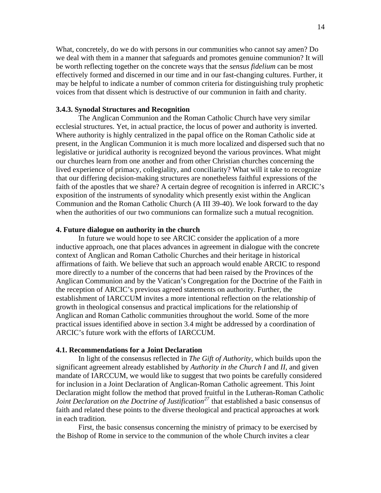What, concretely, do we do with persons in our communities who cannot say amen? Do we deal with them in a manner that safeguards and promotes genuine communion? It will be worth reflecting together on the concrete ways that the *sensus fidelium* can be most effectively formed and discerned in our time and in our fast-changing cultures. Further, it may be helpful to indicate a number of common criteria for distinguishing truly prophetic voices from that dissent which is destructive of our communion in faith and charity.

## **3.4.3. Synodal Structures and Recognition**

The Anglican Communion and the Roman Catholic Church have very similar ecclesial structures. Yet, in actual practice, the locus of power and authority is inverted. Where authority is highly centralized in the papal office on the Roman Catholic side at present, in the Anglican Communion it is much more localized and dispersed such that no legislative or juridical authority is recognized beyond the various provinces. What might our churches learn from one another and from other Christian churches concerning the lived experience of primacy, collegiality, and conciliarity? What will it take to recognize that our differing decision-making structures are nonetheless faithful expressions of the faith of the apostles that we share? A certain degree of recognition is inferred in ARCIC's exposition of the instruments of synodality which presently exist within the Anglican Communion and the Roman Catholic Church (A III 39-40). We look forward to the day when the authorities of our two communions can formalize such a mutual recognition.

### **4. Future dialogue on authority in the church**

 In future we would hope to see ARCIC consider the application of a more inductive approach, one that places advances in agreement in dialogue with the concrete context of Anglican and Roman Catholic Churches and their heritage in historical affirmations of faith. We believe that such an approach would enable ARCIC to respond more directly to a number of the concerns that had been raised by the Provinces of the Anglican Communion and by the Vatican's Congregation for the Doctrine of the Faith in the reception of ARCIC's previous agreed statements on authority. Further, the establishment of IARCCUM invites a more intentional reflection on the relationship of growth in theological consensus and practical implications for the relationship of Anglican and Roman Catholic communities throughout the world. Some of the more practical issues identified above in section 3.4 might be addressed by a coordination of ARCIC's future work with the efforts of IARCCUM.

## **4.1. Recommendations for a Joint Declaration**

 In light of the consensus reflected in *The Gift of Authority*, which builds upon the significant agreement already established by *Authority in the Church I* and *II*, and given mandate of IARCCUM, we would like to suggest that two points be carefully considered for inclusion in a Joint Declaration of Anglican-Roman Catholic agreement. This Joint Declaration might follow the method that proved fruitful in the Lutheran-Roman Catholic *Joint Declaration on the Doctrine of Justification<sup>[27](#page-18-1)</sup>* that established a basic consensus of faith and related these points to the diverse theological and practical approaches at work in each tradition*.*

First, the basic consensus concerning the ministry of primacy to be exercised by the Bishop of Rome in service to the communion of the whole Church invites a clear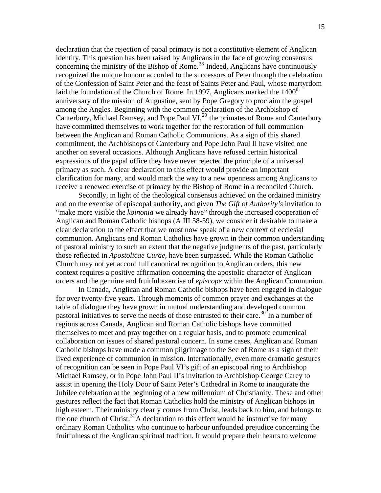declaration that the rejection of papal primacy is not a constitutive element of Anglican identity. This question has been raised by Anglicans in the face of growing consensus concerning the ministry of the Bishop of Rome.<sup>[28](#page-18-1)</sup> Indeed, Anglicans have continuously recognized the unique honour accorded to the successors of Peter through the celebration of the Confession of Saint Peter and the feast of Saints Peter and Paul, whose martyrdom laid the foundation of the Church of Rome. In 1997, Anglicans marked the 1400<sup>th</sup> anniversary of the mission of Augustine, sent by Pope Gregory to proclaim the gospel among the Angles. Beginning with the common declaration of the Archbishop of Canterbury, Michael Ramsey, and Pope Paul VI, $^{29}$  $^{29}$  $^{29}$  the primates of Rome and Canterbury have committed themselves to work together for the restoration of full communion between the Anglican and Roman Catholic Communions. As a sign of this shared commitment, the Archbishops of Canterbury and Pope John Paul II have visited one another on several occasions. Although Anglicans have refused certain historical expressions of the papal office they have never rejected the principle of a universal primacy as such. A clear declaration to this effect would provide an important clarification for many, and would mark the way to a new openness among Anglicans to receive a renewed exercise of primacy by the Bishop of Rome in a reconciled Church.

 Secondly, in light of the theological consensus achieved on the ordained ministry and on the exercise of episcopal authority, and given *The Gift of Authority's* invitation to "make more visible the *koinonia* we already have" through the increased cooperation of Anglican and Roman Catholic bishops (A III 58-59), we consider it desirable to make a clear declaration to the effect that we must now speak of a new context of ecclesial communion. Anglicans and Roman Catholics have grown in their common understanding of pastoral ministry to such an extent that the negative judgments of the past, particularly those reflected in *Apostolicae Curae*, have been surpassed*.* While the Roman Catholic Church may not yet accord full canonical recognition to Anglican orders, this new context requires a positive affirmation concerning the apostolic character of Anglican orders and the genuine and fruitful exercise of *episcope* within the Anglican Communion.

In Canada, Anglican and Roman Catholic bishops have been engaged in dialogue for over twenty-five years. Through moments of common prayer and exchanges at the table of dialogue they have grown in mutual understanding and developed common pastoral initiatives to serve the needs of those entrusted to their care.<sup>[30](#page-18-1)</sup> In a number of regions across Canada, Anglican and Roman Catholic bishops have committed themselves to meet and pray together on a regular basis, and to promote ecumenical collaboration on issues of shared pastoral concern. In some cases, Anglican and Roman Catholic bishops have made a common pilgrimage to the See of Rome as a sign of their lived experience of communion in mission. Internationally, even more dramatic gestures of recognition can be seen in Pope Paul VI's gift of an episcopal ring to Archbishop Michael Ramsey, or in Pope John Paul II's invitation to Archbishop George Carey to assist in opening the Holy Door of Saint Peter's Cathedral in Rome to inaugurate the Jubilee celebration at the beginning of a new millennium of Christianity. These and other gestures reflect the fact that Roman Catholics hold the ministry of Anglican bishops in high esteem. Their ministry clearly comes from Christ, leads back to him, and belongs to the one church of Christ.<sup>[31](#page-18-1)</sup>A declaration to this effect would be instructive for many ordinary Roman Catholics who continue to harbour unfounded prejudice concerning the fruitfulness of the Anglican spiritual tradition. It would prepare their hearts to welcome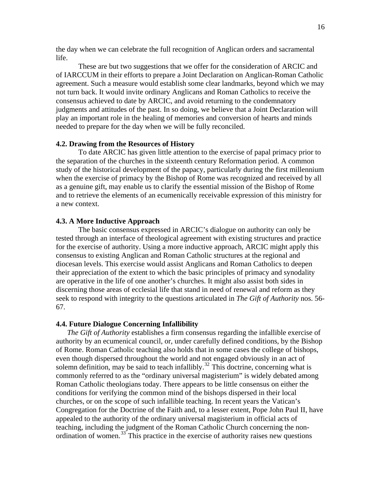the day when we can celebrate the full recognition of Anglican orders and sacramental life.

 These are but two suggestions that we offer for the consideration of ARCIC and of IARCCUM in their efforts to prepare a Joint Declaration on Anglican-Roman Catholic agreement. Such a measure would establish some clear landmarks, beyond which we may not turn back. It would invite ordinary Anglicans and Roman Catholics to receive the consensus achieved to date by ARCIC, and avoid returning to the condemnatory judgments and attitudes of the past. In so doing, we believe that a Joint Declaration will play an important role in the healing of memories and conversion of hearts and minds needed to prepare for the day when we will be fully reconciled.

### **4.2. Drawing from the Resources of History**

 To date ARCIC has given little attention to the exercise of papal primacy prior to the separation of the churches in the sixteenth century Reformation period. A common study of the historical development of the papacy, particularly during the first millennium when the exercise of primacy by the Bishop of Rome was recognized and received by all as a genuine gift, may enable us to clarify the essential mission of the Bishop of Rome and to retrieve the elements of an ecumenically receivable expression of this ministry for a new context.

#### **4.3. A More Inductive Approach**

 The basic consensus expressed in ARCIC's dialogue on authority can only be tested through an interface of theological agreement with existing structures and practice for the exercise of authority. Using a more inductive approach, ARCIC might apply this consensus to existing Anglican and Roman Catholic structures at the regional and diocesan levels. This exercise would assist Anglicans and Roman Catholics to deepen their appreciation of the extent to which the basic principles of primacy and synodality are operative in the life of one another's churches. It might also assist both sides in discerning those areas of ecclesial life that stand in need of renewal and reform as they seek to respond with integrity to the questions articulated in *The Gift of Authority* nos. 56- 67.

## **4.4. Future Dialogue Concerning Infallibility**

*The Gift of Authority* establishes a firm consensus regarding the infallible exercise of authority by an ecumenical council, or, under carefully defined conditions, by the Bishop of Rome. Roman Catholic teaching also holds that in some cases the college of bishops, even though dispersed throughout the world and not engaged obviously in an act of solemn definition, may be said to teach infallibly.<sup>[32](#page-18-1)</sup> This doctrine, concerning what is commonly referred to as the "ordinary universal magisterium" is widely debated among Roman Catholic theologians today. There appears to be little consensus on either the conditions for verifying the common mind of the bishops dispersed in their local churches, or on the scope of such infallible teaching. In recent years the Vatican's Congregation for the Doctrine of the Faith and, to a lesser extent, Pope John Paul II, have appealed to the authority of the ordinary universal magisterium in official acts of teaching, including the judgment of the Roman Catholic Church concerning the non-ordination of women.<sup>[33](#page-18-1)</sup> This practice in the exercise of authority raises new questions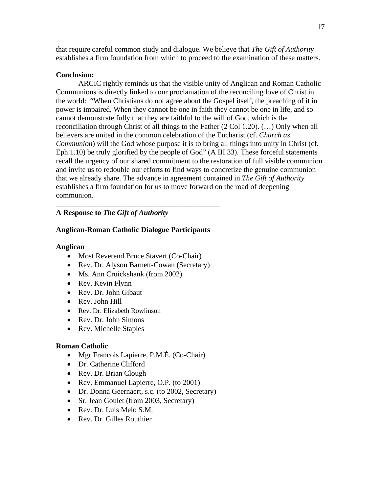that require careful common study and dialogue. We believe that *The Gift of Authority* establishes a firm foundation from which to proceed to the examination of these matters.

## **Conclusion:**

ARCIC rightly reminds us that the visible unity of Anglican and Roman Catholic Communions is directly linked to our proclamation of the reconciling love of Christ in the world: "When Christians do not agree about the Gospel itself, the preaching of it in power is impaired. When they cannot be one in faith they cannot be one in life, and so cannot demonstrate fully that they are faithful to the will of God, which is the reconciliation through Christ of all things to the Father (2 Col 1.20). (…) Only when all believers are united in the common celebration of the Eucharist (cf. *Church as Communion*) will the God whose purpose it is to bring all things into unity in Christ (cf. Eph 1.10) be truly glorified by the people of God" (A III 33). These forceful statements recall the urgency of our shared commitment to the restoration of full visible communion and invite us to redouble our efforts to find ways to concretize the genuine communion that we already share. The advance in agreement contained in *The Gift of Authority* establishes a firm foundation for us to move forward on the road of deepening communion.

## \_\_\_\_\_\_\_\_\_\_\_\_\_\_\_\_\_\_\_\_\_\_\_\_\_\_\_\_\_\_\_\_\_\_\_\_\_\_\_\_\_\_\_\_ **A Response to** *The Gift of Authority*

# **Anglican-Roman Catholic Dialogue Participants**

# **Anglican**

- Most Reverend Bruce Stavert (Co-Chair)
- Rev. Dr. Alyson Barnett-Cowan (Secretary)
- Ms. Ann Cruickshank (from 2002)
- Rev. Kevin Flynn
- Rev. Dr. John Gibaut
- Rev. John Hill
- Rev. Dr. Elizabeth Rowlinson
- Rev. Dr. John Simons
- Rev. Michelle Staples

# **Roman Catholic**

- Mgr Francois Lapierre, P.M.É. (Co-Chair)
- Dr. Catherine Clifford
- Rev. Dr. Brian Clough
- Rev. Emmanuel Lapierre, O.P. (to 2001)
- Dr. Donna Geernaert, s.c. (to 2002, Secretary)
- Sr. Jean Goulet (from 2003, Secretary)
- Rev. Dr. Luis Melo S.M.
- Rev. Dr. Gilles Routhier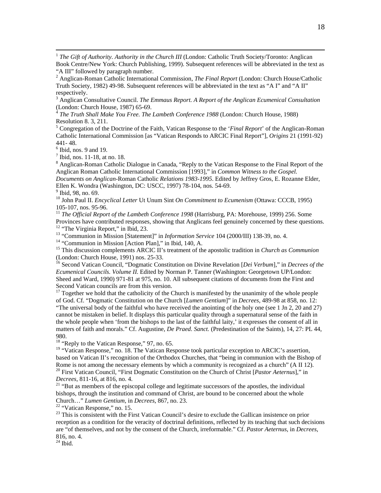<sup>1</sup> The Gift of Authority. Authority in the Church III (London: Catholic Truth Society/Toronto: Anglican Book Centre/New York: Church Publishing, 1999). Subsequent references will be abbreviated in the text as "A III" followed by paragraph number.

2 Anglican-Roman Catholic International Commission, *The Final Report* (London: Church House/Catholic Truth Society, 1982) 49-98. Subsequent references will be abbreviated in the text as "A I" and "A II" respectively.

3 Anglican Consultative Council. *The Emmaus Report. A Report of the Anglican Ecumenical Consultation* (London: Church House, 1987) 65-69.

<sup>4</sup> *The Truth Shall Make You Free. The Lambeth Conference 1988* (London: Church House, 1988) Resolution 8. 3, 211.

5 Congregation of the Doctrine of the Faith, Vatican Response to the '*Final Report*' of the Anglican-Roman Catholic International Commission [as "Vatican Responds to ARCIC Final Report"], *Origins* 21 (1991-92) 441- 48.

 $<sup>6</sup>$  Ibid, nos. 9 and 19.</sup>

 $<sup>7</sup>$  Ibid, nos. 11-18, at no. 18.</sup>

<sup>8</sup> Anglican-Roman Catholic Dialogue in Canada, "Reply to the Vatican Response to the Final Report of the Anglican Roman Catholic International Commission [1993]," in *Common Witness to the Gospel.* 

*Documents on Anglican-*Roman Catholic *Relations 1983-1995*. Edited by Jeffrey Gros, E. Rozanne Elder, Ellen K. Wondra (Washington, DC: USCC, 1997) 78-104, nos. 54-69.

<sup>9</sup> Ibid, 98, no. 69.

10 John Paul II. *Encyclical Letter* Ut Unum Sint *On Commitment to Ecumenism* (Ottawa: CCCB, 1995) 105-107, nos. 95-96.

<sup>11</sup> *The Official Report of the Lambeth Conference 1998* (Harrisburg, PA: Morehouse, 1999) 256. Some Provinces have contributed responses, showing that Anglicans feel genuinely concerned by these questions. <sup>12</sup> "The Virginia Report," in Ibid, 23.

<sup>13</sup> "Communion in Mission [Statement]" in *Information Service* 104 (2000/III) 138-39, no. 4.<br><sup>14</sup> "Communion in Mission [Action Plan]," in Ibid, 140, A.

15 This discussion complements ARCIC II's treatment of the apostolic tradition in *Church as Communion* (London: Church House, 1991) nos. 25-33.

16 Second Vatican Council, "Dogmatic Constitution on Divine Revelation [*Dei Verbum*]," in *Decrees of the Ecumenical Councils. Volume II.* Edited by Norman P. Tanner (Washington: Georgetown UP/London: Sheed and Ward, 1990) 971-81 at 975, no. 10. All subsequent citations of documents from the First and Second Vatican councils are from this version.

 $17$  Together we hold that the catholicity of the Church is manifested by the unanimity of the whole people of God. Cf. "Dogmatic Constitution on the Church [*Lumen Gentium*]" in *Decrees,* 489-98 at 858, no. 12: "The universal body of the faithful who have received the anointing of the holy one (see 1 Jn 2, 20 and 27) cannot be mistaken in belief. It displays this particular quality through a supernatural sense of the faith in the whole people when 'from the bishops to the last of the faithful laity,' it expresses the consent of all in matters of faith and morals." Cf. Augustine, *De Praed. Sanct.* (Predestination of the Saints), 14, 27: PL 44, 980.

 $18$  "Reply to the Vatican Response," 97, no. 65.

<sup>19</sup> "Vatican Response," no. 18. The Vatican Response took particular exception to ARCIC's assertion, based on Vatican II's recognition of the Orthodox Churches, that "being in communion with the Bishop of Rome is not among the necessary elements by which a community is recognized as a church" (A II 12). 20 First Vatican Council, "First Dogmatic Constitution on the Church of Christ [*Pastor Aeternus*]," in

*Decrees*, 811-16, at 816, no. 4. **21** "But as members of the episcopal college and legitimate successors of the apostles, the individual

bishops, through the institution and command of Christ, are bound to be concerned about the whole Church…" *Lumen Gentium,* in *Decrees*, 867, no. 23. 22 "Vatican Response," no. 15.

<sup>23</sup> This is consistent with the First Vatican Council's desire to exclude the Gallican insistence on prior reception as a condition for the veracity of doctrinal definitions, reflected by its teaching that such decisions are "of themselves, and not by the consent of the Church, irreformable." Cf. *Pastor Aeternus*, in *Decrees*, 816, no. 4.

 $24$  Ibid.